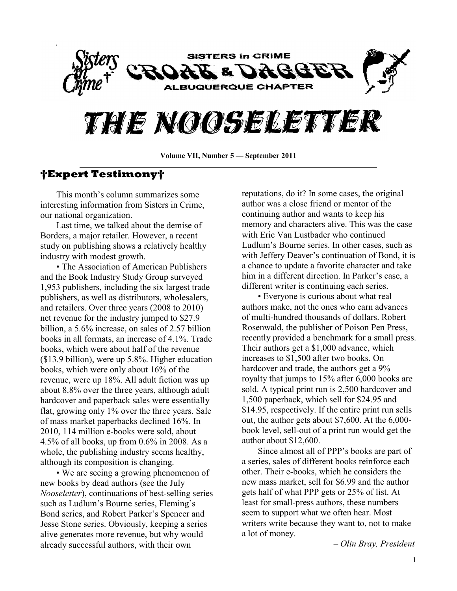

# THE NOOSELETTER

**Volume VII, Number 5 — September 2011**

### **†Expert Testimony†**

This month's column summarizes some interesting information from Sisters in Crime, our national organization.

Last time, we talked about the demise of Borders, a major retailer. However, a recent study on publishing shows a relatively healthy industry with modest growth.

• The Association of American Publishers and the Book Industry Study Group surveyed 1,953 publishers, including the six largest trade publishers, as well as distributors, wholesalers, and retailers. Over three years (2008 to 2010) net revenue for the industry jumped to \$27.9 billion, a 5.6% increase, on sales of 2.57 billion books in all formats, an increase of 4.1%. Trade books, which were about half of the revenue (\$13.9 billion), were up 5.8%. Higher education books, which were only about 16% of the revenue, were up 18%. All adult fiction was up about 8.8% over the three years, although adult hardcover and paperback sales were essentially flat, growing only 1% over the three years. Sale of mass market paperbacks declined 16%. In 2010, 114 million e-books were sold, about 4.5% of all books, up from 0.6% in 2008. As a whole, the publishing industry seems healthy, although its composition is changing.

• We are seeing a growing phenomenon of new books by dead authors (see the July *Nooseletter*), continuations of best-selling series such as Ludlum's Bourne series, Fleming's Bond series, and Robert Parker's Spencer and Jesse Stone series. Obviously, keeping a series alive generates more revenue, but why would already successful authors, with their own

reputations, do it? In some cases, the original author was a close friend or mentor of the continuing author and wants to keep his memory and characters alive. This was the case with Eric Van Lustbader who continued Ludlum's Bourne series. In other cases, such as with Jeffery Deaver's continuation of Bond, it is a chance to update a favorite character and take him in a different direction. In Parker's case, a different writer is continuing each series.

• Everyone is curious about what real authors make, not the ones who earn advances of multi-hundred thousands of dollars. Robert Rosenwald, the publisher of Poison Pen Press, recently provided a benchmark for a small press. Their authors get a \$1,000 advance, which increases to \$1,500 after two books. On hardcover and trade, the authors get a 9% royalty that jumps to 15% after 6,000 books are sold. A typical print run is 2,500 hardcover and 1,500 paperback, which sell for \$24.95 and \$14.95, respectively. If the entire print run sells out, the author gets about \$7,600. At the 6,000 book level, sell-out of a print run would get the author about \$12,600.

Since almost all of PPP's books are part of a series, sales of different books reinforce each other. Their e-books, which he considers the new mass market, sell for \$6.99 and the author gets half of what PPP gets or 25% of list. At least for small-press authors, these numbers seem to support what we often hear. Most writers write because they want to, not to make a lot of money.

– *Olin Bray, President*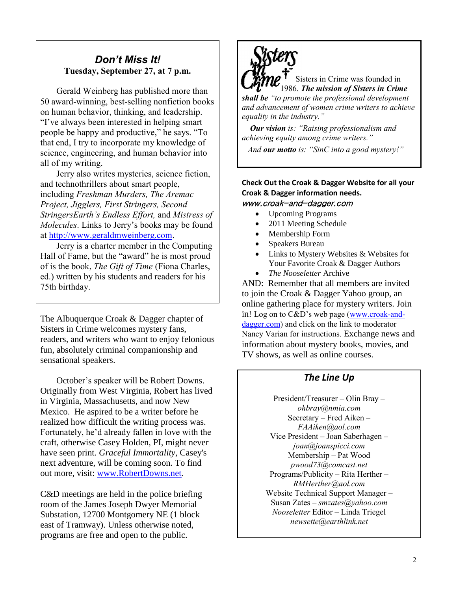## *Don't Miss It!* **Tuesday, September 27, at 7 p.m.**

Gerald Weinberg has published more than 50 award-winning, best-selling nonfiction books on human behavior, thinking, and leadership. "I've always been interested in helping smart people be happy and productive," he says. "To that end, I try to incorporate my knowledge of science, engineering, and human behavior into all of my writing.

Jerry also writes mysteries, science fiction, and technothrillers about smart people, including *Freshman Murders, The Aremac Project, Jigglers, First Stringers, Second StringersEarth's Endless Effort,* and *Mistress of Molecules*. Links to Jerry's books may be found at [http://www.geraldmweinberg.com.](http://www.geraldmweinberg.com/)

Jerry is a charter member in the Computing Hall of Fame, but the "award" he is most proud of is the book, *The Gift of Time* (Fiona Charles, ed.) written by his students and readers for his 75th birthday.

The Albuquerque Croak & Dagger chapter of Sisters in Crime welcomes mystery fans, readers, and writers who want to enjoy felonious fun, absolutely criminal companionship and sensational speakers.

October's speaker will be Robert Downs. Originally from West Virginia, Robert has lived in Virginia, Massachusetts, and now New Mexico. He aspired to be a writer before he realized how difficult the writing process was. Fortunately, he'd already fallen in love with the craft, otherwise Casey Holden, PI, might never have seen print. *Graceful Immortality*, Casey's next adventure, will be coming soon. To find out more, visit: [www.RobertDowns.net.](http://www.robertdowns.net/)

C&D meetings are held in the police briefing room of the James Joseph Dwyer Memorial Substation, 12700 Montgomery NE (1 block east of Tramway). Unless otherwise noted, programs are free and open to the public.



Sisters in Crime was founded in 1986. *The mission of Sisters in Crime shall be "to promote the professional development and advancement of women crime writers to achieve equality in the industry."*

 *Our vision is: "Raising professionalism and achieving equity among crime writers."*

 *And our motto is: "SinC into a good mystery!"*

### **Check Out the Croak & Dagger Website for all your Croak & Dagger information needs.** www.croak-and-dagger.com

- Upcoming Programs
- 2011 Meeting Schedule
- Membership Form
- Speakers Bureau
- Links to Mystery Websites & Websites for Your Favorite Croak & Dagger Authors
- *The Nooseletter* Archive

AND: Remember that all members are invited to join the Croak & Dagger Yahoo group, an online gathering place for mystery writers. Join in! Log on to C&D's web page ([www.croak-and](http://www.croak-and-dagger.com/)[dagger.com\)](http://www.croak-and-dagger.com/) and click on the link to moderator Nancy Varian for instructions. Exchange news and information about mystery books, movies, and TV shows, as well as online courses.

### *The Line Up*

President/Treasurer – Olin Bray – *[ohbray@nmia.com](mailto:ohbray@nmia.com)* Secretary – Fred Aiken – *[FAAiken@aol.com](mailto:rkresge777@comcast.net)* Vice President – Joan Saberhagen – *[joan@joanspicci.com](mailto:joan@joanspicci.com)* Membership – Pat Wood *pwood73@comcast.net* Programs/Publicity – Rita Herther – *[RMHerther@aol.com](mailto:RMHerther@aol.com)* Website Technical Support Manager – Susan Zates – *[smzates@yahoo.com](mailto:smzates@yahoo.com) Nooseletter* Editor – Linda Triegel *[newsette@earthlink.net](mailto:newsette@earthlink.net)*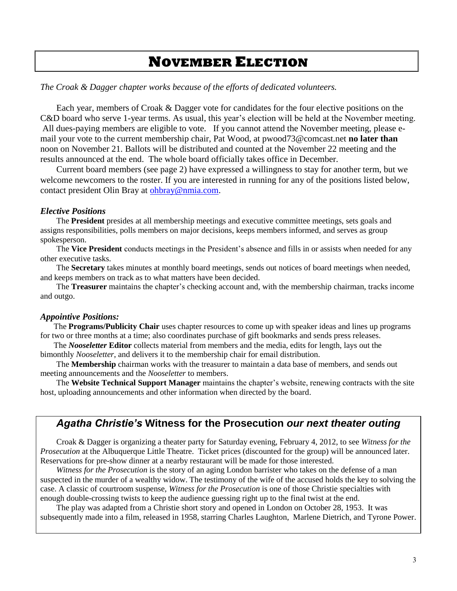# **NOVEMBER ELECTION**

*The Croak & Dagger chapter works because of the efforts of dedicated volunteers.*

Each year, members of Croak & Dagger vote for candidates for the four elective positions on the C&D board who serve 1-year terms. As usual, this year's election will be held at the November meeting. All dues-paying members are eligible to vote. If you cannot attend the November meeting, please email your vote to the current membership chair, Pat Wood, at pwood73@comcast.net **no later than** noon on November 21. Ballots will be distributed and counted at the November 22 meeting and the results announced at the end. The whole board officially takes office in December.

Current board members (see page 2) have expressed a willingness to stay for another term, but we welcome newcomers to the roster. If you are interested in running for any of the positions listed below, contact president Olin Bray at [ohbray@nmia.com.](mailto:ohbray@nmia.com)

#### *Elective Positions*

The **President** presides at all membership meetings and executive committee meetings, sets goals and assigns responsibilities, polls members on major decisions, keeps members informed, and serves as group spokesperson.

The **Vice President** conducts meetings in the President's absence and fills in or assists when needed for any other executive tasks.

The **Secretary** takes minutes at monthly board meetings, sends out notices of board meetings when needed, and keeps members on track as to what matters have been decided.

The **Treasurer** maintains the chapter's checking account and, with the membership chairman, tracks income and outgo.

#### *Appointive Positions:*

The **Programs/Publicity Chair** uses chapter resources to come up with speaker ideas and lines up programs for two or three months at a time; also coordinates purchase of gift bookmarks and sends press releases.

The *Nooseletter* **Editor** collects material from members and the media, edits for length, lays out the bimonthly *Nooseletter*, and delivers it to the membership chair for email distribution.

The **Membership** chairman works with the treasurer to maintain a data base of members, and sends out meeting announcements and the *Nooseletter* to members.

The **Website Technical Support Manager** maintains the chapter's website, renewing contracts with the site host, uploading announcements and other information when directed by the board.

### *Agatha Christie's* **Witness for the Prosecution** *our next theater outing*

Croak & Dagger is organizing a theater party for Saturday evening, February 4, 2012, to see *Witness for the Prosecution* at the Albuquerque Little Theatre. Ticket prices (discounted for the group) will be announced later. Reservations for pre-show dinner at a nearby restaurant will be made for those interested.

*Witness for the Prosecution* is the story of an aging London barrister who takes on the defense of a man suspected in the murder of a wealthy widow. The testimony of the wife of the accused holds the key to solving the case. A classic of courtroom suspense, *Witness for the Prosecution* is one of those Christie specialties with enough double-crossing twists to keep the audience guessing right up to the final twist at the end.

The play was adapted from a Christie short story and opened in [London](http://en.wikipedia.org/wiki/London) on October 28, 1953. It was subsequently made into a film, released in 1958, starring [Charles Laughton,](http://en.wikipedia.org/wiki/Charles_Laughton) [Marlene Dietrich,](http://en.wikipedia.org/wiki/Marlene_Dietrich) and [Tyrone Power.](http://en.wikipedia.org/wiki/Tyrone_Power)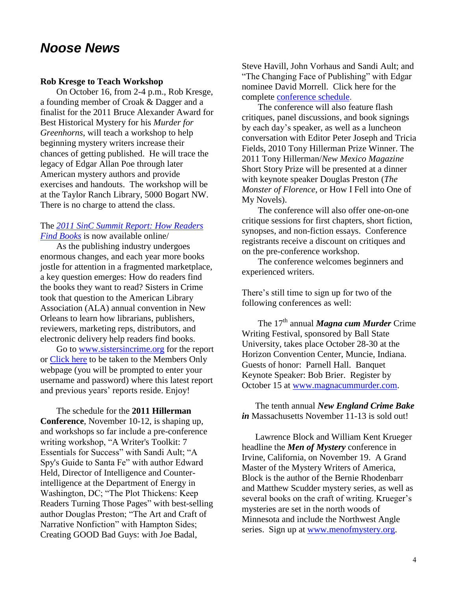# *Noose News*

#### **Rob Kresge to Teach Workshop**

On October 16, from 2-4 p.m., Rob Kresge, a founding member of Croak & Dagger and a finalist for the 2011 Bruce Alexander Award for Best Historical Mystery for his *Murder for Greenhorns*, will teach a workshop to help beginning mystery writers increase their chances of getting published. He will trace the legacy of Edgar Allan Poe through later American mystery authors and provide exercises and handouts. The workshop will be at the Taylor Ranch Library, 5000 Bogart NW. There is no charge to attend the class.

### The *[2011 SinC Summit Report: How Readers](http://www.sistersincrime.org/displaycommon.cfm?an=1&subarticlenbr=21)  [Find Books](http://www.sistersincrime.org/displaycommon.cfm?an=1&subarticlenbr=21)* is now available online/

As the publishing industry undergoes enormous changes, and each year more books jostle for attention in a fragmented marketplace, a key question emerges: How do readers find the books they want to read? Sisters in Crime took that question to the American Library Association (ALA) annual convention in New Orleans to learn how librarians, publishers, reviewers, marketing reps, distributors, and electronic delivery help readers find books.

Go to [www.sistersincrime.org](http://www.sistersincrime.org/) for the report or [Click here](http://www.sistersincrime.org/displaycommon.cfm?an=1&subarticlenbr=21) to be taken to the Members Only webpage (you will be prompted to enter your username and password) where this latest report and previous years' reports reside. Enjoy!

The schedule for the **2011 Hillerman Conference**, November 10-12, is shaping up, and workshops so far include a pre-conference writing workshop, "A Writer's Toolkit: 7 Essentials for Success" with Sandi Ault; "A Spy's Guide to Santa Fe" with author Edward Held, Director of Intelligence and Counterintelligence at the Department of Energy in Washington, DC; "The Plot Thickens: Keep Readers Turning Those Pages" with best-selling author Douglas Preston; "The Art and Craft of Narrative Nonfiction" with Hampton Sides; Creating GOOD Bad Guys: with Joe Badal,

Steve Havill, John Vorhaus and Sandi Ault; and "The Changing Face of Publishing" with Edgar nominee David Morrell. Click here for the complete [conference schedule.](http://r20.rs6.net/tn.jsp?llr=wfa5ilcab&et=1106322232386&s=1016&e=001ryUAJwQZR-98W5iJINpMZrwlL6Wi59LOQIfWWSMKAe99AgwPg3cmpXx1bYbDCvThhcAF2kYkJHts1-NLKwPChFwxsnttNY3gnmbG5-qg-h5hZkedJ1NmCgg-bhe8BYXU8qQuj09ljvFbDx_oh1w4lpIerArsxva2)

The conference will also feature flash critiques, panel discussions, and book signings by each day's speaker, as well as a luncheon conversation with Editor Peter Joseph and Tricia Fields, 2010 Tony Hillerman Prize Winner. The 2011 Tony Hillerman/*New Mexico Magazine* Short Story Prize will be presented at a dinner with keynote speaker Douglas Preston (*The Monster of Florence*, or How I Fell into One of My Novels).

The conference will also offer one-on-one critique sessions for first chapters, short fiction, synopses, and non-fiction essays. Conference registrants receive a discount on critiques and on the pre-conference workshop.

The conference welcomes beginners and experienced writers.

There's still time to sign up for two of the following conferences as well:

The 17<sup>th</sup> annual *Magna cum Murder* Crime Writing Festival, sponsored by Ball State University, takes place October 28-30 at the Horizon Convention Center, Muncie, Indiana. Guests of honor: Parnell Hall. Banquet Keynote Speaker: Bob Brier. Register by October 15 at [www.magnacummurder.com.](http://www.magnacummurder.com/)

The tenth annual *New England Crime Bake in* Massachusetts November 11-13 is sold out!

Lawrence Block and William Kent Krueger headline the *Men of Mystery* conference in Irvine, California, on November 19. A Grand Master of the Mystery Writers of America, Block is the author of the Bernie Rhodenbarr and Matthew Scudder mystery series, as well as several books on the craft of writing. Krueger's mysteries are set in the north woods of Minnesota and include the Northwest Angle series. Sign up at [www.menofmystery.org.](http://www.menofmystery.org/)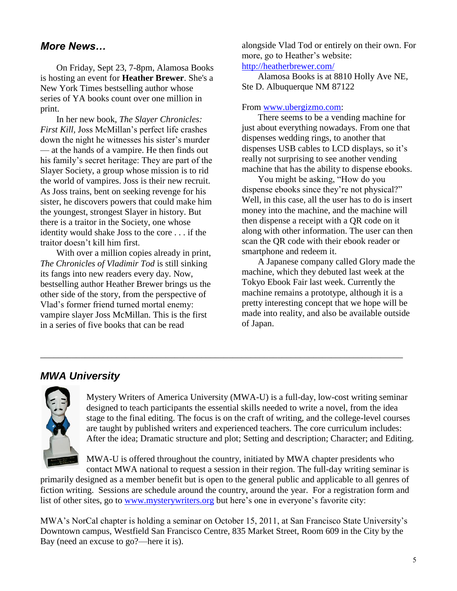## *More News…*

On Friday, Sept 23, 7-8pm, Alamosa Books is hosting an event for **Heather Brewer**. She's a New York Times bestselling author whose series of YA books count over one million in print.

In her new book, *The Slayer Chronicles: First Kill,* Joss McMillan's perfect life crashes down the night he witnesses his sister's murder — at the hands of a vampire. He then finds out his family's secret heritage: They are part of the Slayer Society, a group whose mission is to rid the world of vampires. Joss is their new recruit. As Joss trains, bent on seeking revenge for his sister, he discovers powers that could make him the youngest, strongest Slayer in history. But there is a traitor in the Society, one whose identity would shake Joss to the core . . . if the traitor doesn't kill him first.

With over a million copies already in print, *The Chronicles of Vladimir Tod* is still sinking its fangs into new readers every day. Now, bestselling author Heather Brewer brings us the other side of the story, from the perspective of Vlad's former friend turned mortal enemy: vampire slayer Joss McMillan. This is the first in a series of five books that can be read

alongside Vlad Tod or entirely on their own. For more, go to Heather's website:

<http://heatherbrewer.com/>

Alamosa Books is at 8810 Holly Ave NE, Ste D. Albuquerque NM 87122

### From [www.ubergizmo.com:](http://www.ubergizmo.com/)

There seems to be a vending machine for just about everything nowadays. From one that dispenses [wedding rings,](http://www.ubergizmo.com/2011/06/autowed-wedding-machine/) to another that dispenses [USB cables to LCD displays,](http://www.ubergizmo.com/2011/05/the-ultimate-vending-machines-for-geeks-and-hobbyists/) so it's really not surprising to see another vending machine that has the ability to dispense ebooks.

You might be asking, "How do you dispense ebooks since they're not physical?" Well, in this case, all the user has to do is insert money into the machine, and the machine will then dispense a receipt with a QR code on it along with other information. The user can then scan the QR code with their ebook reader or smartphone and redeem it.

A Japanese company called Glory made the machine, which they debuted last week at the Tokyo Ebook Fair last week. Currently the machine remains a prototype, although it is a pretty interesting concept that we hope will be made into reality, and also be available outside of Japan.

## *MWA University*



Mystery Writers of America University (MWA-U) is a full-day, low-cost writing seminar designed to teach participants the essential skills needed to write a novel, from the idea stage to the final editing. The focus is on the craft of writing, and the college-level courses are taught by published writers and experienced teachers. The core curriculum includes: After the idea; Dramatic structure and plot; Setting and description; Character; and Editing.

MWA-U is offered throughout the country, initiated by MWA chapter presidents who contact MWA national to request a session in their region. The full-day writing seminar is

primarily designed as a member benefit but is open to the general public and applicable to all genres of fiction writing. Sessions are schedule around the country, around the year. For a registration form and list of other sites, go to [www.mysterywriters.org](http://www.mysterywriters.org/) but here's one in everyone's favorite city:

\_\_\_\_\_\_\_\_\_\_\_\_\_\_\_\_\_\_\_\_\_\_\_\_\_\_\_\_\_\_\_\_\_\_\_\_\_\_\_\_\_\_\_\_\_\_\_\_\_\_\_\_\_\_\_\_\_\_\_\_\_\_\_\_\_\_\_\_\_\_\_\_\_\_\_\_\_\_\_\_\_

MWA's NorCal chapter is holding a seminar on October 15, 2011, at San Francisco State University's Downtown campus, Westfield San Francisco Centre, 835 Market Street, Room 609 in the City by the Bay (need an excuse to go?—here it is).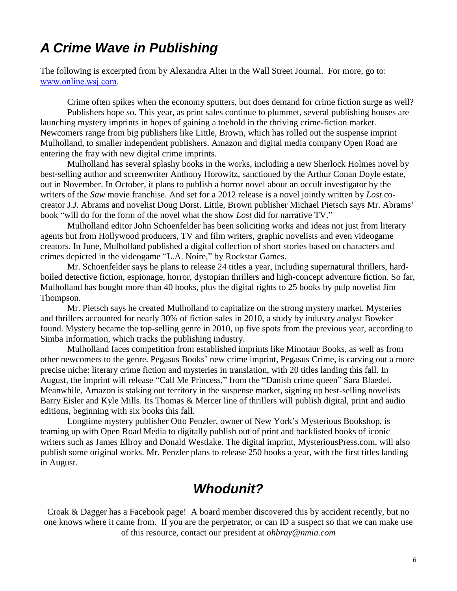# *A Crime Wave in Publishing*

The following is excerpted from by Alexandra Alter in the Wall Street Journal. For more, go to: [www.online.wsj.com.](http://www.online.wsj.com/)

Crime often spikes when the economy sputters, but does demand for crime fiction surge as well?

Publishers hope so. This year, as print sales continue to plummet, several publishing houses are launching mystery imprints in hopes of gaining a toehold in the thriving crime-fiction market. Newcomers range from big publishers like Little, Brown, which has rolled out the suspense imprint Mulholland, to smaller independent publishers. Amazon and digital media company Open Road are entering the fray with new digital crime imprints.

Mulholland has several splashy books in the works, including a new Sherlock Holmes novel by best-selling author and screenwriter Anthony Horowitz, sanctioned by the Arthur Conan Doyle estate, out in November. In October, it plans to publish a horror novel about an occult investigator by the writers of the *Saw* movie franchise. And set for a 2012 release is a novel jointly written by *Lost* cocreator J.J. Abrams and novelist Doug Dorst. Little, Brown publisher Michael Pietsch says Mr. Abrams' book "will do for the form of the novel what the show *Lost* did for narrative TV."

Mulholland editor John Schoenfelder has been soliciting works and ideas not just from literary agents but from Hollywood producers, TV and film writers, graphic novelists and even videogame creators. In June, Mulholland published a digital collection of short stories based on characters and crimes depicted in the videogame "L.A. Noire," by Rockstar Games.

Mr. Schoenfelder says he plans to release 24 titles a year, including supernatural thrillers, hardboiled detective fiction, espionage, horror, dystopian thrillers and high-concept adventure fiction. So far, Mulholland has bought more than 40 books, plus the digital rights to 25 books by pulp novelist Jim Thompson.

Mr. Pietsch says he created Mulholland to capitalize on the strong mystery market. Mysteries and thrillers accounted for nearly 30% of fiction sales in 2010, a study by industry analyst Bowker found. Mystery became the top-selling genre in 2010, up five spots from the previous year, according to Simba Information, which tracks the publishing industry.

Mulholland faces competition from established imprints like Minotaur Books, as well as from other newcomers to the genre. Pegasus Books' new crime imprint, Pegasus Crime, is carving out a more precise niche: literary crime fiction and mysteries in translation, with 20 titles landing this fall. In August, the imprint will release "Call Me Princess," from the "Danish crime queen" Sara Blaedel. Meanwhile, Amazon is staking out territory in the suspense market, signing up best-selling novelists Barry Eisler and Kyle Mills. Its Thomas & Mercer line of thrillers will publish digital, print and audio editions, beginning with six books this fall.

Longtime mystery publisher Otto Penzler, owner of New York's Mysterious Bookshop, is teaming up with Open Road Media to digitally publish out of print and backlisted books of iconic writers such as James Ellroy and Donald Westlake. The digital imprint, MysteriousPress.com, will also publish some original works. Mr. Penzler plans to release 250 books a year, with the first titles landing in August.

# *Whodunit?*

Croak & Dagger has a Facebook page! A board member discovered this by accident recently, but no one knows where it came from. If you are the perpetrator, or can ID a suspect so that we can make use of this resource, contact our president at *[ohbray@nmia.com](mailto:ohbray@nmia.com)*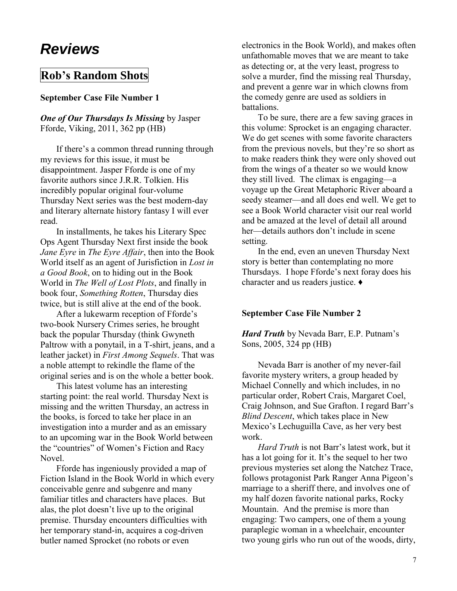# *Reviews*

# **Rob's Random Shots**

### **September Case File Number 1**

### *One of Our Thursdays Is Missing* by Jasper Fforde, Viking, 2011, 362 pp (HB)

If there's a common thread running through my reviews for this issue, it must be disappointment. Jasper Fforde is one of my favorite authors since J.R.R. Tolkien. His incredibly popular original four-volume Thursday Next series was the best modern-day and literary alternate history fantasy I will ever read.

In installments, he takes his Literary Spec Ops Agent Thursday Next first inside the book *Jane Eyre* in *The Eyre Affair*, then into the Book World itself as an agent of Jurisfiction in *Lost in a Good Book*, on to hiding out in the Book World in *The Well of Lost Plots*, and finally in book four, *Something Rotten*, Thursday dies twice, but is still alive at the end of the book.

After a lukewarm reception of Fforde's two-book Nursery Crimes series, he brought back the popular Thursday (think Gwyneth Paltrow with a ponytail, in a T-shirt, jeans, and a leather jacket) in *First Among Sequels*. That was a noble attempt to rekindle the flame of the original series and is on the whole a better book.

This latest volume has an interesting starting point: the real world. Thursday Next is missing and the written Thursday, an actress in the books, is forced to take her place in an investigation into a murder and as an emissary to an upcoming war in the Book World between the "countries" of Women's Fiction and Racy Novel.

Fforde has ingeniously provided a map of Fiction Island in the Book World in which every conceivable genre and subgenre and many familiar titles and characters have places. But alas, the plot doesn't live up to the original premise. Thursday encounters difficulties with her temporary stand-in, acquires a cog-driven butler named Sprocket (no robots or even

electronics in the Book World), and makes often unfathomable moves that we are meant to take as detecting or, at the very least, progress to solve a murder, find the missing real Thursday, and prevent a genre war in which clowns from the comedy genre are used as soldiers in battalions.

To be sure, there are a few saving graces in this volume: Sprocket is an engaging character. We do get scenes with some favorite characters from the previous novels, but they're so short as to make readers think they were only shoved out from the wings of a theater so we would know they still lived. The climax is engaging—a voyage up the Great Metaphoric River aboard a seedy steamer—and all does end well. We get to see a Book World character visit our real world and be amazed at the level of detail all around her—details authors don't include in scene setting.

In the end, even an uneven Thursday Next story is better than contemplating no more Thursdays. I hope Fforde's next foray does his character and us readers justice. **♦**

### **September Case File Number 2**

*Hard Truth* by Nevada Barr, E.P. Putnam's Sons, 2005, 324 pp (HB)

Nevada Barr is another of my never-fail favorite mystery writers, a group headed by Michael Connelly and which includes, in no particular order, Robert Crais, Margaret Coel, Craig Johnson, and Sue Grafton. I regard Barr's *Blind Descent*, which takes place in New Mexico's Lechuguilla Cave, as her very best work.

*Hard Truth* is not Barr's latest work, but it has a lot going for it. It's the sequel to her two previous mysteries set along the Natchez Trace, follows protagonist Park Ranger Anna Pigeon's marriage to a sheriff there, and involves one of my half dozen favorite national parks, Rocky Mountain. And the premise is more than engaging: Two campers, one of them a young paraplegic woman in a wheelchair, encounter two young girls who run out of the woods, dirty,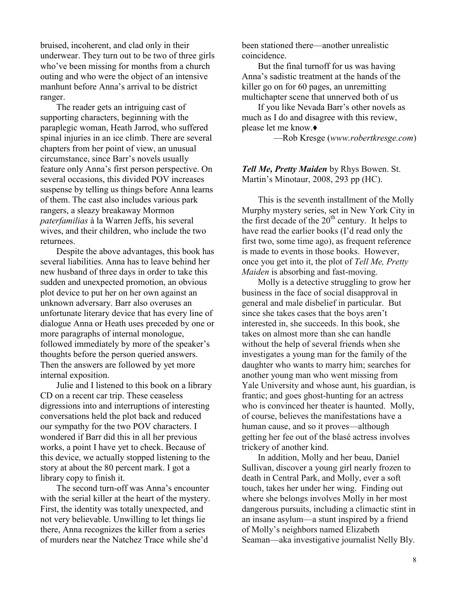bruised, incoherent, and clad only in their underwear. They turn out to be two of three girls who've been missing for months from a church outing and who were the object of an intensive manhunt before Anna's arrival to be district ranger.

The reader gets an intriguing cast of supporting characters, beginning with the paraplegic woman, Heath Jarrod, who suffered spinal injuries in an ice climb. There are several chapters from her point of view, an unusual circumstance, since Barr's novels usually feature only Anna's first person perspective. On several occasions, this divided POV increases suspense by telling us things before Anna learns of them. The cast also includes various park rangers, a sleazy breakaway Mormon *paterfamilias* à la Warren Jeffs, his several wives, and their children, who include the two returnees.

Despite the above advantages, this book has several liabilities. Anna has to leave behind her new husband of three days in order to take this sudden and unexpected promotion, an obvious plot device to put her on her own against an unknown adversary. Barr also overuses an unfortunate literary device that has every line of dialogue Anna or Heath uses preceded by one or more paragraphs of internal monologue, followed immediately by more of the speaker's thoughts before the person queried answers. Then the answers are followed by yet more internal exposition.

Julie and I listened to this book on a library CD on a recent car trip. These ceaseless digressions into and interruptions of interesting conversations held the plot back and reduced our sympathy for the two POV characters. I wondered if Barr did this in all her previous works, a point I have yet to check. Because of this device, we actually stopped listening to the story at about the 80 percent mark. I got a library copy to finish it.

The second turn-off was Anna's encounter with the serial killer at the heart of the mystery. First, the identity was totally unexpected, and not very believable. Unwilling to let things lie there, Anna recognizes the killer from a series of murders near the Natchez Trace while she'd

been stationed there—another unrealistic coincidence.

But the final turnoff for us was having Anna's sadistic treatment at the hands of the killer go on for 60 pages, an unremitting multichapter scene that unnerved both of us

If you like Nevada Barr's other novels as much as I do and disagree with this review, please let me know.**♦**

—Rob Kresge (*[www.robertkresge.com](http://www.robertkresge.com/)*)

*Tell Me, Pretty Maiden* by Rhys Bowen. St. Martin's Minotaur, 2008, 293 pp (HC).

This is the seventh installment of the Molly Murphy mystery series, set in New York City in the first decade of the  $20<sup>th</sup>$  century. It helps to have read the earlier books (I'd read only the first two, some time ago), as frequent reference is made to events in those books. However, once you get into it, the plot of *Tell Me, Pretty Maiden* is absorbing and fast-moving.

Molly is a detective struggling to grow her business in the face of social disapproval in general and male disbelief in particular. But since she takes cases that the boys aren't interested in, she succeeds. In this book, she takes on almost more than she can handle without the help of several friends when she investigates a young man for the family of the daughter who wants to marry him; searches for another young man who went missing from Yale University and whose aunt, his guardian, is frantic; and goes ghost-hunting for an actress who is convinced her theater is haunted. Molly, of course, believes the manifestations have a human cause, and so it proves—although getting her fee out of the blasé actress involves trickery of another kind.

In addition, Molly and her beau, Daniel Sullivan, discover a young girl nearly frozen to death in Central Park, and Molly, ever a soft touch, takes her under her wing. Finding out where she belongs involves Molly in her most dangerous pursuits, including a climactic stint in an insane asylum—a stunt inspired by a friend of Molly's neighbors named Elizabeth Seaman—aka investigative journalist Nelly Bly.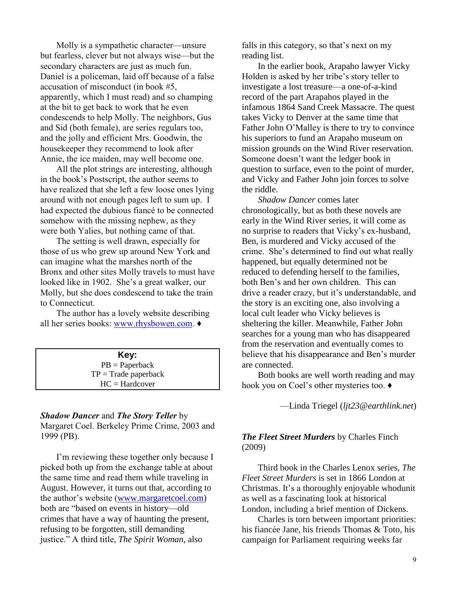Molly is a sympathetic character—unsure but fearless, clever but not always wise—but the secondary characters are just as much fun. Daniel is a policeman, laid off because of a false accusation of misconduct (in book #5, apparently, which I must read) and so champing at the bit to get back to work that he even condescends to help Molly. The neighbors, Gus and Sid (both female), are series regulars too, and the jolly and efficient Mrs. Goodwin, the housekeeper they recommend to look after Annie, the ice maiden, may well become one.

All the plot strings are interesting, although in the book's Postscript, the author seems to have realized that she left a few loose ones lying around with not enough pages left to sum up. I had expected the dubious fiancé to be connected somehow with the missing nephew, as they were both Yalies, but nothing came of that.

The setting is well drawn, especially for those of us who grew up around New York and can imagine what the marshes north of the Bronx and other sites Molly travels to must have looked like in 1902. She's a great walker, our Molly, but she does condescend to take the train to Connecticut.

The author has a lovely website describing all her series books: [www.rhysbowen.com.](http://www.rhysbowen.com/) **♦**

| Key:                   |
|------------------------|
| $PB = Paperback$       |
| $TP = Trade$ paperback |
| $HC = Hardcover$       |

#### *Shadow Dancer* and *The Story Teller* by

Margaret Coel. Berkeley Prime Crime, 2003 and 1999 (PB).

I'm reviewing these together only because I picked both up from the exchange table at about the same time and read them while traveling in August. However, it turns out that, according to the author's website [\(www.margaretcoel.com\)](http://www.margaretcoel.com/) both are "based on events in history—old crimes that have a way of haunting the present, refusing to be forgotten, still demanding justice." A third title, *The Spirit Woman*, also

falls in this category, so that's next on my reading list.

In the earlier book, Arapaho lawyer Vicky Holden is asked by her tribe's story teller to investigate a lost treasure—a one-of-a-kind record of the part Arapahos played in the infamous 1864 Sand Creek Massacre. The quest takes Vicky to Denver at the same time that Father John O'Malley is there to try to convince his superiors to fund an Arapaho museum on mission grounds on the Wind River reservation. Someone doesn't want the ledger book in question to surface, even to the point of murder, and Vicky and Father John join forces to solve the riddle.

*Shadow Dancer* comes later chronologically, but as both these novels are early in the Wind River series, it will come as no surprise to readers that Vicky's ex-husband, Ben, is murdered and Vicky accused of the crime. She's determined to find out what really happened, but equally determined not be reduced to defending herself to the families, both Ben's and her own children. This can drive a reader crazy, but it's understandable, and the story is an exciting one, also involving a local cult leader who Vicky believes is sheltering the killer. Meanwhile, Father John searches for a young man who has disappeared from the reservation and eventually comes to believe that his disappearance and Ben's murder are connected.

Both books are well worth reading and may hook you on Coel's other mysteries too. **♦**

—Linda Triegel (*[ljt23@earthlink.net](mailto:rkresge777@comcast.net)*)

### *The Fleet Street Murders* by Charles Finch (2009)

Third book in the Charles Lenox series, *The Fleet Street Murders* is set in 1866 London at Christmas. It's a thoroughly enjoyable whodunit as well as a fascinating look at historical London, including a brief mention of Dickens.

Charles is torn between important priorities: his fiancée Jane, his friends Thomas & Toto, his campaign for Parliament requiring weeks far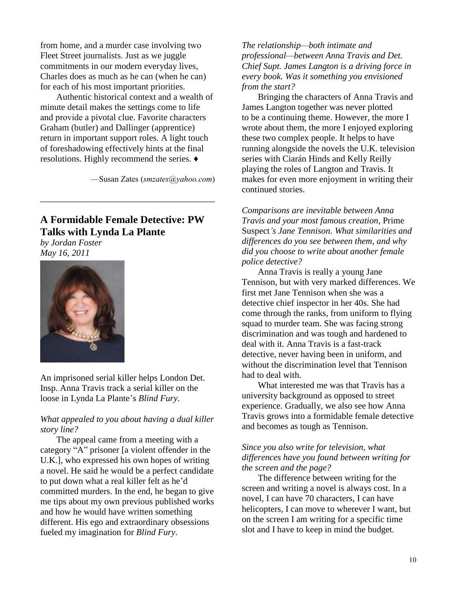from home, and a murder case involving two Fleet Street journalists. Just as we juggle commitments in our modern everyday lives, Charles does as much as he can (when he can) for each of his most important priorities.

Authentic historical context and a wealth of minute detail makes the settings come to life and provide a pivotal clue. Favorite characters Graham (butler) and Dallinger (apprentice) return in important support roles. A light touch of foreshadowing effectively hints at the final resolutions. Highly recommend the series. **♦**

—Susan Zates (*[smzates@yahoo.com](mailto:smzates@yahoo.com)*)

### **A Formidable Female Detective: PW Talks with Lynda La Plante**  *by Jordan Foster*

\_\_\_\_\_\_\_\_\_\_\_\_\_\_\_\_\_\_\_\_\_\_\_\_\_\_\_\_\_\_\_\_\_\_\_\_\_\_\_

*May 16, 2011*



An imprisoned serial killer helps London Det. Insp. Anna Travis track a serial killer on the loose in Lynda La Plante's *[Blind Fury](javascript:popinReview(165845);)*.

### *What appealed to you about having a dual killer story line?*

The appeal came from a meeting with a category "A" prisoner [a violent offender in the U.K.], who expressed his own hopes of writing a novel. He said he would be a perfect candidate to put down what a real killer felt as he'd committed murders. In the end, he began to give me tips about my own previous published works and how he would have written something different. His ego and extraordinary obsessions fueled my imagination for *Blind Fury*.

*The relationship—both intimate and professional—between Anna Travis and Det. Chief Supt. James Langton is a driving force in every book. Was it something you envisioned from the start?*

Bringing the characters of Anna Travis and James Langton together was never plotted to be a continuing theme. However, the more I wrote about them, the more I enjoyed exploring these two complex people. It helps to have running alongside the novels the U.K. television series with Ciarán Hinds and Kelly Reilly playing the roles of Langton and Travis. It makes for even more enjoyment in writing their continued stories.

*Comparisons are inevitable between Anna Travis and your most famous creation,* Prime Suspect*'s Jane Tennison. What similarities and differences do you see between them, and why did you choose to write about another female police detective?*

Anna Travis is really a young Jane Tennison, but with very marked differences. We first met Jane Tennison when she was a detective chief inspector in her 40s. She had come through the ranks, from uniform to flying squad to murder team. She was facing strong discrimination and was tough and hardened to deal with it. Anna Travis is a fast-track detective, never having been in uniform, and without the discrimination level that Tennison had to deal with.

What interested me was that Travis has a university background as opposed to street experience. Gradually, we also see how Anna Travis grows into a formidable female detective and becomes as tough as Tennison.

### *Since you also write for television, what differences have you found between writing for the screen and the page?*

The difference between writing for the screen and writing a novel is always cost. In a novel, I can have 70 characters, I can have helicopters, I can move to wherever I want, but on the screen I am writing for a specific time slot and I have to keep in mind the budget.